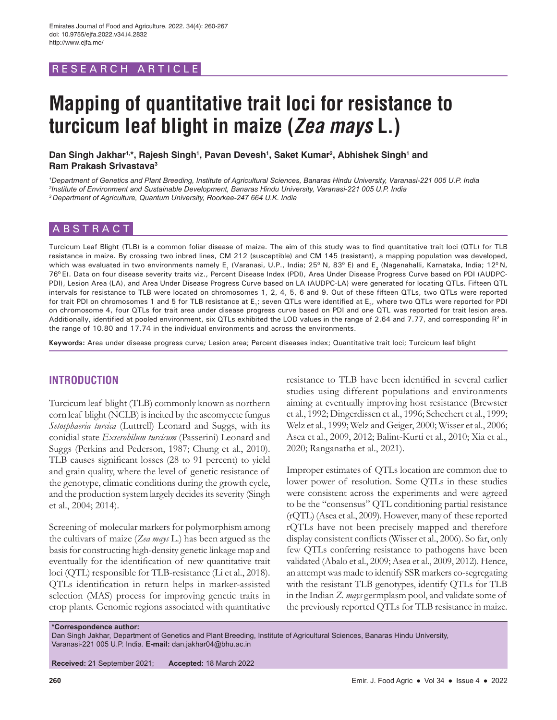# RESEARCH ARTICLE

# **Mapping of quantitative trait loci for resistance to turcicum leaf blight in maize (***Zea mays* **L.)**

Dan Singh Jakhar<sup>1,</sup>\*, Rajesh Singh<sup>1</sup>, Pavan Devesh<sup>1</sup>, Saket Kumar<sup>2</sup>, Abhishek Singh<sup>1</sup> and **Ram Prakash Srivastava3**

*1 Department of Genetics and Plant Breeding, Institute of Agricultural Sciences, Banaras Hindu University, Varanasi-221 005 U.P. India 2 Institute of Environment and Sustainable Development, Banaras Hindu University, Varanasi-221 005 U.P. India 3 Department of Agriculture, Quantum University, Roorkee-247 664 U.K. India*

## ABSTRACT

Turcicum Leaf Blight (TLB) is a common foliar disease of maize. The aim of this study was to find quantitative trait loci (QTL) for TLB resistance in maize. By crossing two inbred lines, CM 212 (susceptible) and CM 145 (resistant), a mapping population was developed, which was evaluated in two environments namely E<sub>1</sub> (Varanasi, U.P., India; 25<sup>0</sup> N, 83<sup>0</sup> E) and E<sub>2</sub> (Nagenahalli, Karnataka, India; 12<sup>0</sup> N, 760 E). Data on four disease severity traits viz., Percent Disease Index (PDI), Area Under Disease Progress Curve based on PDI (AUDPC-PDI), Lesion Area (LA), and Area Under Disease Progress Curve based on LA (AUDPC-LA) were generated for locating QTLs. Fifteen QTL intervals for resistance to TLB were located on chromosomes 1, 2, 4, 5, 6 and 9. Out of these fifteen QTLs, two QTLs were reported for trait PDI on chromosomes 1 and 5 for TLB resistance at E<sub>1</sub>; seven QTLs were identified at E<sub>2</sub>, where two QTLs were reported for PDI on chromosome 4, four QTLs for trait area under disease progress curve based on PDI and one QTL was reported for trait lesion area. Additionally, identified at pooled environment, six QTLs exhibited the LOD values in the range of 2.64 and 7.77, and corresponding R<sup>2</sup> in the range of 10.80 and 17.74 in the individual environments and across the environments.

**Keywords:** Area under disease progress curve*;* Lesion area; Percent diseases index; Quantitative trait loci; Turcicum leaf blight

## **INTRODUCTION**

Turcicum leaf blight (TLB) commonly known as northern corn leaf blight (NCLB) is incited by the ascomycete fungus *Setosphaeria turcica* (Luttrell) Leonard and Suggs, with its conidial state *Exserohilum turcicum* (Passerini) Leonard and Suggs (Perkins and Pederson, 1987; Chung et al., 2010). TLB causes significant losses (28 to 91 percent) to yield and grain quality, where the level of genetic resistance of the genotype, climatic conditions during the growth cycle, and the production system largely decides its severity (Singh et al., 2004; 2014).

Screening of molecular markers for polymorphism among the cultivars of maize (*Zea mays* L.) has been argued as the basis for constructing high-density genetic linkage map and eventually for the identification of new quantitative trait loci (QTL) responsible for TLB-resistance (Li et al., 2018). QTLs identification in return helps in marker-assisted selection (MAS) process for improving genetic traits in crop plants. Genomic regions associated with quantitative

resistance to TLB have been identified in several earlier studies using different populations and environments aiming at eventually improving host resistance (Brewster et al., 1992; Dingerdissen et al., 1996; Schechert et al., 1999; Welz et al., 1999; Welz and Geiger, 2000; Wisser et al., 2006; Asea et al., 2009, 2012; Balint-Kurti et al., 2010; Xia et al., 2020; Ranganatha et al., 2021).

Improper estimates of QTLs location are common due to lower power of resolution. Some QTLs in these studies were consistent across the experiments and were agreed to be the "consensus" QTL conditioning partial resistance (rQTL) (Asea et al., 2009). However, many of these reported rQTLs have not been precisely mapped and therefore display consistent conflicts (Wisser et al., 2006). So far, only few QTLs conferring resistance to pathogens have been validated (Abalo et al., 2009; Asea et al., 2009, 2012). Hence, an attempt was made to identify SSR markers co-segregating with the resistant TLB genotypes, identify QTLs for TLB in the Indian *Z. mays* germplasm pool, and validate some of the previously reported QTLs for TLB resistance in maize.

**\*Correspondence author:** 

Dan Singh Jakhar, Department of Genetics and Plant Breeding, Institute of Agricultural Sciences, Banaras Hindu University, Varanasi-221 005 U.P. India. **E-mail:** dan.jakhar04@bhu.ac.in

**Received:** 21 September 2021; **Accepted:** 18 March 2022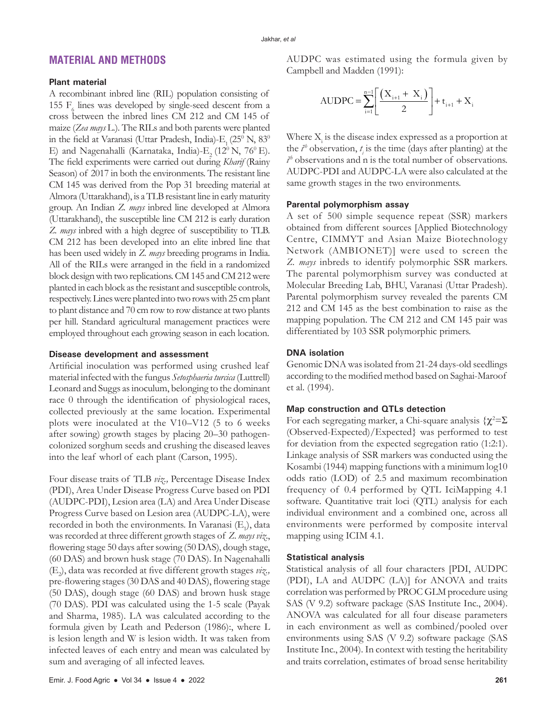## **MATERIAL AND METHODS**

#### **Plant material**

A recombinant inbred line (RIL) population consisting of 155 $\mathrm{F_{6}}$  lines was developed by single-seed descent from a cross between the inbred lines CM 212 and CM 145 of maize (*Zea mays* L.). The RILs and both parents were planted in the field at Varanasi (Uttar Pradesh, India)- $E_1^2$  (25<sup>0</sup> N, 83<sup>0</sup>) E) and Nagenahalli (Karnataka, India)-E, (12º N, 76º E). The field experiments were carried out during *Kharif* (Rainy Season) of 2017 in both the environments. The resistant line CM 145 was derived from the Pop 31 breeding material at Almora (Uttarakhand), is a TLB resistant line in early maturity group. An Indian *Z. mays* inbred line developed at Almora (Uttarakhand), the susceptible line CM 212 is early duration *Z. mays* inbred with a high degree of susceptibility to TLB. CM 212 has been developed into an elite inbred line that has been used widely in *Z. mays* breeding programs in India. All of the RILs were arranged in the field in a randomized block design with two replications. CM 145 and CM 212 were planted in each block as the resistant and susceptible controls, respectively. Lines were planted into two rows with 25 cm plant to plant distance and 70 cm row to row distance at two plants per hill. Standard agricultural management practices were employed throughout each growing season in each location.

## **Disease development and assessment**

Artificial inoculation was performed using crushed leaf material infected with the fungus *Setosphaeria turcica* (Luttrell) Leonard and Suggs as inoculum, belonging to the dominant race 0 through the identification of physiological races, collected previously at the same location. Experimental plots were inoculated at the V10–V12 (5 to 6 weeks after sowing) growth stages by placing 20–30 pathogencolonized sorghum seeds and crushing the diseased leaves into the leaf whorl of each plant (Carson, 1995).

Four disease traits of TLB *viz.,* Percentage Disease Index (PDI), Area Under Disease Progress Curve based on PDI (AUDPC-PDI), Lesion area (LA) and Area Under Disease Progress Curve based on Lesion area (AUDPC-LA), were recorded in both the environments. In Varanasi  $(E_1)$ , data was recorded at three different growth stages of *Z. maysviz*., flowering stage 50 days after sowing (50 DAS), dough stage, (60 DAS) and brown husk stage (70 DAS). In Nagenahalli (E2 ), data was recorded at five different growth stages *viz.,* pre-flowering stages (30 DAS and 40 DAS), flowering stage (50 DAS), dough stage (60 DAS) and brown husk stage (70 DAS). PDI was calculated using the 1-5 scale (Payak and Sharma, 1985). LA was calculated according to the formula given by Leath and Pederson (1986):, where L is lesion length and W is lesion width. It was taken from infected leaves of each entry and mean was calculated by sum and averaging of all infected leaves.

AUDPC was estimated using the formula given by Campbell and Madden (1991):

$$
AUDPC = \sum_{i=1}^{n-1} \left[ \frac{(X_{i+1} + X_i)}{2} \right] + t_{i+1} + X_i
$$

Where  $X_i$  is the disease index expressed as a proportion at the  $i^{\text{th}}$  observation,  $t_i$  is the time (days after planting) at the  $\hat{t}$ <sup>*h*</sup> observations and n is the total number of observations. AUDPC-PDI and AUDPC-LA were also calculated at the same growth stages in the two environments.

#### **Parental polymorphism assay**

A set of 500 simple sequence repeat (SSR) markers obtained from different sources [Applied Biotechnology Centre, CIMMYT and Asian Maize Biotechnology Network (AMBIONET)] were used to screen the *Z. mays* inbreds to identify polymorphic SSR markers. The parental polymorphism survey was conducted at Molecular Breeding Lab, BHU, Varanasi (Uttar Pradesh). Parental polymorphism survey revealed the parents CM 212 and CM 145 as the best combination to raise as the mapping population. The CM 212 and CM 145 pair was differentiated by 103 SSR polymorphic primers.

#### **DNA isolation**

Genomic DNA was isolated from 21-24 days-old seedlings according to the modified method based on Saghai-Maroof et al. (1994).

## **Map construction and QTLs detection**

For each segregating marker, a Chi-square analysis  $\{\chi^2 = \Sigma\}$ (Observed-Expected)/Expected} was performed to test for deviation from the expected segregation ratio (1:2:1). Linkage analysis of SSR markers was conducted using the Kosambi (1944) mapping functions with a minimum log10 odds ratio (LOD) of 2.5 and maximum recombination frequency of 0.4 performed by QTL IciMapping 4.1 software. Quantitative trait loci (QTL) analysis for each individual environment and a combined one, across all environments were performed by composite interval mapping using ICIM 4.1.

#### **Statistical analysis**

Statistical analysis of all four characters [PDI, AUDPC (PDI), LA and AUDPC (LA)] for ANOVA and traits correlation was performed by PROC GLM procedure using SAS (V 9.2) software package (SAS Institute Inc., 2004). ANOVA was calculated for all four disease parameters in each environment as well as combined/pooled over environments using SAS (V 9.2) software package (SAS Institute Inc., 2004). In context with testing the heritability and traits correlation, estimates of broad sense heritability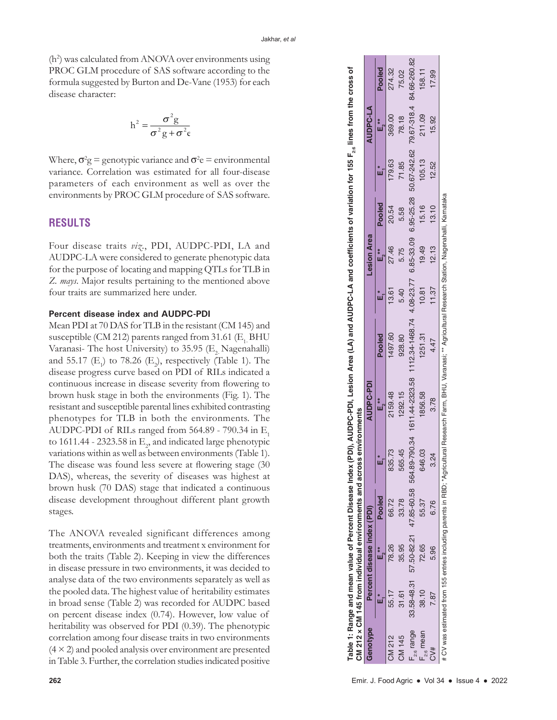(h 2 ) was calculated from ANOVA over environments using PROC GLM procedure of SAS software according to the formula suggested by Burton and De-Vane (1953) for each disease character:

$$
h^{2} = \frac{\sigma^{2}g}{\sigma^{2}g + \sigma^{2}\epsilon}
$$

Where,  $\sigma^2$ g = genotypic variance and  $\sigma^2$ e = environmental variance. Correlation was estimated for all four-disease parameters of each environment as well as over the environments by PROC GLM procedure of SAS software.

## **RESULTS**

Four disease traits *viz*., PDI, AUDPC-PDI, LA and AUDPC-LA were considered to generate phenotypic data for the purpose of locating and mapping QTLs for TLB in *Z. mays*. Major results pertaining to the mentioned above four traits are summarized here under.

#### **Percent disease index and AUDPC-PDI**

Mean PDI at 70 DAS for TLB in the resistant (CM 145) and susceptible (CM 212) parents ranged from  $31.61$  (E<sub>1</sub> BHU Varanasi- The host University) to  $35.95$  (E<sub>2</sub> Nagenahalli) and 55.17  $(E_1)$  to 78.26  $(E_2)$ , respectively (Table 1). The disease progress curve based on PDI of RILs indicated a continuous increase in disease severity from flowering to brown husk stage in both the environments (Fig. 1). The resistant and susceptible parental lines exhibited contrasting phenotypes for TLB in both the environments. The AUDPC-PDI of RILs ranged from 564.89 - 790.34 in  $\mathrm{E}_1$ to 1611.44 - 2323.58 in  $\mathrm{E}_2$ , and indicated large phenotypic variations within as well as between environments (Table 1). The disease was found less severe at flowering stage (30 DAS), whereas, the severity of diseases was highest at brown husk (70 DAS) stage that indicated a continuous disease development throughout different plant growth stages.

The ANOVA revealed significant differences among treatments, environments and treatment x environment for both the traits (Table 2). Keeping in view the differences in disease pressure in two environments, it was decided to analyse data of the two environments separately as well as the pooled data. The highest value of heritability estimates in broad sense (Table 2) was recorded for AUDPC based on percent disease index (0.74). However, low value of heritability was observed for PDI (0.39). The phenotypic correlation among four disease traits in two environments  $(4 \times 2)$  and pooled analysis over environment are presented in Table 3. Further, the correlation studies indicated positive

|                 |       |                             |        | CM 212 x CM 145 from individual environments and across environments |               |                                                                                                                                                                    |       |                    |        |        |                 |        |
|-----------------|-------|-----------------------------|--------|----------------------------------------------------------------------|---------------|--------------------------------------------------------------------------------------------------------------------------------------------------------------------|-------|--------------------|--------|--------|-----------------|--------|
| Genotype        |       | Percent disease index (PDI) |        |                                                                      | AUDPC-PDI     |                                                                                                                                                                    |       | <b>Lesion Area</b> |        |        | <b>AUDPC-LA</b> |        |
|                 |       | E.**                        | Pooled |                                                                      | ់<br><br><br> | Pooled                                                                                                                                                             | U     | ៖<br>⊾             | Pooled |        | ้<br>แ          | Pooled |
| CM 212          | 55.17 | 78.26                       | 66.72  | 835.73                                                               | 2159.48       | 497.60                                                                                                                                                             | 13.61 | 27.46              | 20.54  | 179.63 | 369.00          | 274.32 |
| CM 145          | 31.61 | 35.95                       | 33.78  | 565.45                                                               | 1292.15       | 928.80                                                                                                                                                             | 5.40  | 5.75               | 5.58   | 71.85  | 78.18           | 75.02  |
| $F_{2:6}$ range |       |                             |        |                                                                      |               | 33.58-48.31 57.50-82.21 47.85-60.58 564.89-790.34 161.44-2323.58 112.34-1468.74 4.08-23.77 6.85-33.09 6.95-25.28 50.67-242.62 79.67-318.4 84.66-260.82             |       |                    |        |        |                 |        |
| $F_{2,6}$ mean  | 38.10 | 72.65                       | 55.37  | 646.03                                                               | 856.58        | 1251.31                                                                                                                                                            | 10.81 | 19.49              | 15.16  | 105.13 | 211.09          | 158.11 |
| CV#             |       | 5.96                        | 6.76   | $\overline{24}$                                                      | 3.78          | 4.47                                                                                                                                                               | 11.37 | 12.13              | 13.10  | 12.52  | 15.92           | 17.99  |
|                 |       |                             |        |                                                                      |               | # CV was estimated from 155 entries including parents in RBD; "Agricultural Research Farm, BHU, Varanasi; "* Agricultural Research Station, Nagenahalli, Karnataka |       |                    |        |        |                 |        |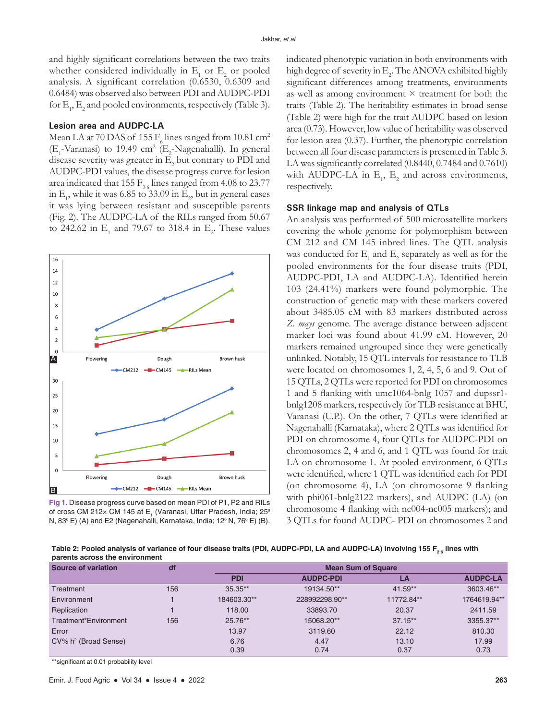and highly significant correlations between the two traits whether considered individually in  $E_1$  or  $E_2$  or pooled analysis. A significant correlation (0.6530, 0.6309 and 0.6484) was observed also between PDI and AUDPC-PDI for  $\mathrm{E}_1$ ,  $\mathrm{E}_2$  and pooled environments, respectively (Table 3).

#### **Lesion area and AUDPC-LA**

Mean LA at 70 DAS of 155  $F_6$  lines ranged from 10.81 cm<sup>2</sup>  $(E_1$ -Varanasi) to 19.49 cm<sup>2</sup> ( $E_2$ -Nagenahalli). In general disease severity was greater in  $\mathrm{E}_2$  but contrary to PDI and AUDPC-PDI values, the disease progress curve for lesion area indicated that 155  $F_{2.6}$  lines ranged from 4.08 to 23.77 in  $E_1$ , while it was 6.85 to 33.09 in  $E_2$ , but in general cases it was lying between resistant and susceptible parents (Fig. 2). The AUDPC-LA of the RILs ranged from 50.67 to 242.62 in  $E_1$  and 79.67 to 318.4 in  $E_2$ . These values



**Fig 1.** Disease progress curve based on mean PDI of P1, P2 and RILs of cross CM 212x CM 145 at E<sub>1</sub> (Varanasi, Uttar Pradesh, India; 25° N, 83<sup>°</sup> E) (A) and E2 (Nagenahalli, Karnataka, India; 12<sup>°</sup> N, 76<sup>°</sup> E) (B).

indicated phenotypic variation in both environments with high degree of severity in  $\mathrm{E}_2$ . The ANOVA exhibited highly significant differences among treatments, environments as well as among environment  $\times$  treatment for both the traits (Table 2). The heritability estimates in broad sense (Table 2) were high for the trait AUDPC based on lesion area (0.73). However, low value of heritability was observed for lesion area (0.37). Further, the phenotypic correlation between all four disease parameters is presented in Table 3. LA was significantly correlated (0.8440, 0.7484 and 0.7610) with AUDPC-LA in  $E_1$ ,  $E_2$  and across environments, respectively.

#### **SSR linkage map and analysis of QTLs**

An analysis was performed of 500 microsatellite markers covering the whole genome for polymorphism between CM 212 and CM 145 inbred lines. The QTL analysis was conducted for  $\mathrm{E}_\mathrm{1}$  and  $\mathrm{E}_\mathrm{2}$  separately as well as for the pooled environments for the four disease traits (PDI, AUDPC-PDI, LA and AUDPC-LA). Identified herein 103 (24.41%) markers were found polymorphic. The construction of genetic map with these markers covered about 3485.05 cM with 83 markers distributed across *Z. mays* genome. The average distance between adjacent marker loci was found about 41.99 cM. However, 20 markers remained ungrouped since they were genetically unlinked. Notably, 15 QTL intervals for resistance to TLB were located on chromosomes 1, 2, 4, 5, 6 and 9. Out of 15 QTLs, 2 QTLs were reported for PDI on chromosomes 1 and 5 flanking with umc1064-bnlg 1057 and dupssr1 bnlg1208 markers, respectively for TLB resistance at BHU, Varanasi (U.P.). On the other, 7 QTLs were identified at Nagenahalli (Karnataka), where 2 QTLs was identified for PDI on chromosome 4, four QTLs for AUDPC-PDI on chromosomes 2, 4 and 6, and 1 QTL was found for trait LA on chromosome 1. At pooled environment, 6 QTLs were identified, where 1 QTL was identified each for PDI (on chromosome 4), LA (on chromosome 9 flanking with phi061-bnlg2122 markers), and AUDPC (LA) (on chromosome 4 flanking with nc004-nc005 markers); and 3 QTLs for found AUDPC- PDI on chromosomes 2 and

Table 2: Pooled analysis of variance of four disease traits (PDI, AUDPC-PDI, LA and AUDPC-LA) involving 155 F<sub>2-6</sub> lines with **parents across the environment**

| Source of variation                 | df  | <b>Mean Sum of Square</b> |                  |            |                 |  |  |
|-------------------------------------|-----|---------------------------|------------------|------------|-----------------|--|--|
|                                     |     | <b>PDI</b>                | <b>AUDPC-PDI</b> | LA         | <b>AUDPC-LA</b> |  |  |
| Treatment                           | 156 | $35.35**$                 | 19134.50**       | 41.59**    | 3603.46**       |  |  |
| Environment                         |     | 184603.30**               | 228992298.90**   | 11772.84** | 1764619.94**    |  |  |
| Replication                         |     | 118.00                    | 33893.70         | 20.37      | 2411.59         |  |  |
| Treatment*Environment               | 156 | 25.76**                   | 15068.20**       | $37.15**$  | 3355.37**       |  |  |
| Error                               |     | 13.97                     | 3119.60          | 22.12      | 810.30          |  |  |
| $CV\%$ h <sup>2</sup> (Broad Sense) |     | 6.76                      | 4.47             | 13.10      | 17.99           |  |  |
|                                     |     | 0.39                      | 0.74             | 0.37       | 0.73            |  |  |

\*\*significant at 0.01 probability level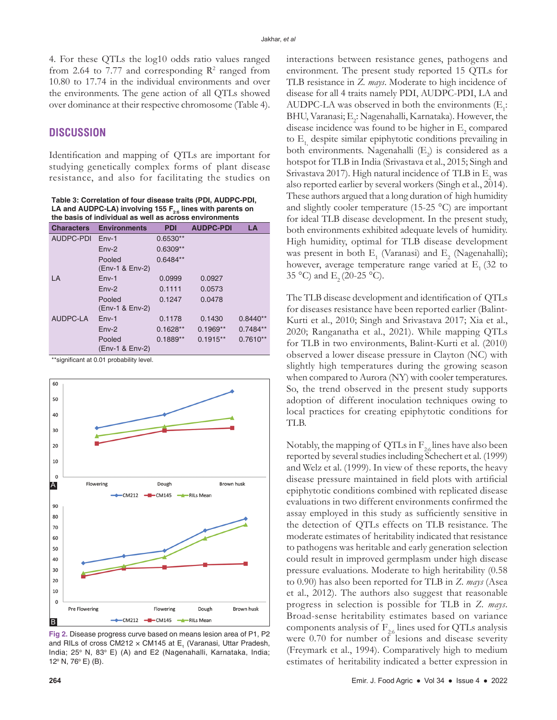4. For these QTLs the log10 odds ratio values ranged from 2.64 to 7.77 and corresponding  $\mathbb{R}^2$  ranged from 10.80 to 17.74 in the individual environments and over the environments. The gene action of all QTLs showed over dominance at their respective chromosome (Table 4).

## **DISCUSSION**

Identification and mapping of QTLs are important for studying genetically complex forms of plant disease resistance, and also for facilitating the studies on

**Table 3: Correlation of four disease traits (PDI, AUDPC‑PDI, LA and AUDPC‑LA) involving 155 F2:6 lines with parents on the basis of individual as well as across environments**

| <b>Characters</b> | <b>Environments</b>       | <b>PDI</b> | <b>AUDPC-PDI</b> | LA         |
|-------------------|---------------------------|------------|------------------|------------|
| AUDPC-PDI         | $Env-1$                   | $0.6530**$ |                  |            |
|                   | $Env-2$                   | $0.6309**$ |                  |            |
|                   | Pooled                    | $0.6484**$ |                  |            |
|                   | (Env-1 & Env-2)           |            |                  |            |
| LA                | $Env-1$                   | 0.0999     | 0.0927           |            |
|                   | $Env-2$                   | 0.1111     | 0.0573           |            |
|                   | Pooled                    | 0.1247     | 0.0478           |            |
|                   | (Env-1 & Env-2)           |            |                  |            |
| AUDPC-LA          | $Env-1$                   | 0.1178     | 0.1430           | $0.8440**$ |
|                   | $Env-2$                   | $0.1628**$ | $0.1969**$       | $0.7484**$ |
|                   | Pooled<br>(Env-1 & Env-2) | $0.1889**$ | $0.1915**$       | $0.7610**$ |

\*\*significant at 0.01 probability level.



**Fig 2.** Disease progress curve based on means lesion area of P1, P2 and RILs of cross CM212  $\times$  CM145 at E<sub>1</sub> (Varanasi, Uttar Pradesh, India; 25° N, 83° E) (A) and E2 (Nagenahalli, Karnataka, India;  $12^{\circ}$  N, 76 $^{\circ}$  E) (B).

interactions between resistance genes, pathogens and environment. The present study reported 15 QTLs for TLB resistance in *Z. mays*. Moderate to high incidence of disease for all 4 traits namely PDI, AUDPC-PDI, LA and AUDPC-LA was observed in both the environments  $(E_i:$ BHU, Varanasi;  $\mathrm{E}_2$ : Nagenahalli, Karnataka). However, the disease incidence was found to be higher in  $\mathrm{E}_2$  compared to  $E_1$  despite similar epiphytotic conditions prevailing in both environments. Nagenahalli  $(E_2)$  is considered as a hotspot for TLB in India (Srivastava et al., 2015; Singh and Srivastava 2017). High natural incidence of TLB in  $\mathrm{E}_\mathrm{2}$  was also reported earlier by several workers (Singh et al., 2014). These authors argued that a long duration of high humidity and slightly cooler temperature (15-25 °C) are important for ideal TLB disease development. In the present study, both environments exhibited adequate levels of humidity. High humidity, optimal for TLB disease development was present in both  $E_1$  (Varanasi) and  $E_2$  (Nagenahalli); however, average temperature range varied at  $E_1$  (32 to 35 °C) and E<sub>2</sub> (20-25 °C).

The TLB disease development and identification of QTLs for diseases resistance have been reported earlier (Balint-Kurti et al., 2010; Singh and Srivastava 2017; Xia et al., 2020; Ranganatha et al., 2021). While mapping QTLs for TLB in two environments, Balint-Kurti et al. (2010) observed a lower disease pressure in Clayton (NC) with slightly high temperatures during the growing season when compared to Aurora (NY) with cooler temperatures. So, the trend observed in the present study supports adoption of different inoculation techniques owing to local practices for creating epiphytotic conditions for TLB.

Notably, the mapping of QTLs in  $F_{2.6}$  lines have also been reported by several studies including Schechert et al. (1999) and Welz et al. (1999). In view of these reports, the heavy disease pressure maintained in field plots with artificial epiphytotic conditions combined with replicated disease evaluations in two different environments confirmed the assay employed in this study as sufficiently sensitive in the detection of QTLs effects on TLB resistance. The moderate estimates of heritability indicated that resistance to pathogens was heritable and early generation selection could result in improved germplasm under high disease pressure evaluations. Moderate to high heritability (0.58 to 0.90) has also been reported for TLB in *Z. mays* (Asea et al., 2012). The authors also suggest that reasonable progress in selection is possible for TLB in *Z. mays*. Broad-sense heritability estimates based on variance components analysis of  $F_{2.6}$  lines used for QTLs analysis were 0.70 for number of lesions and disease severity (Freymark et al., 1994). Comparatively high to medium estimates of heritability indicated a better expression in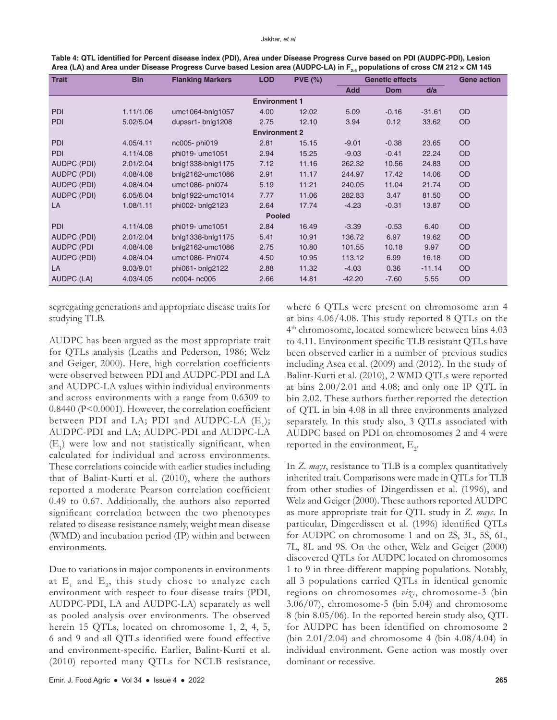| Table 4: QTL identified for Percent disease index (PDI), Area under Disease Progress Curve based on PDI (AUDPC-PDI), Lesion   |
|-------------------------------------------------------------------------------------------------------------------------------|
| Area (LA) and Area under Disease Progress Curve based Lesion area (AUDPC-LA) in $F_{2n}$ populations of cross CM 212 x CM 145 |

| <b>Trait</b>       | <b>Bin</b>           | <b>LOD</b><br><b>Flanking Markers</b><br><b>PVE (%)</b><br><b>Genetic effects</b> |                      |       | <b>Gene action</b> |            |          |           |  |  |
|--------------------|----------------------|-----------------------------------------------------------------------------------|----------------------|-------|--------------------|------------|----------|-----------|--|--|
|                    |                      |                                                                                   |                      |       | <b>Add</b>         | <b>Dom</b> | d/a      |           |  |  |
|                    |                      |                                                                                   | <b>Environment 1</b> |       |                    |            |          |           |  |  |
| <b>PDI</b>         | 1.11/1.06            | umc1064-bnlg1057                                                                  | 4.00                 | 12.02 | 5.09               | $-0.16$    | $-31.61$ | OD        |  |  |
| <b>PDI</b>         | 5.02/5.04            | dupssr1-bnlg1208                                                                  | 2.75                 | 12.10 | 3.94               | 0.12       | 33.62    | OD        |  |  |
|                    | <b>Environment 2</b> |                                                                                   |                      |       |                    |            |          |           |  |  |
| <b>PDI</b>         | 4.05/4.11            | nc005-phi019                                                                      | 2.81                 | 15.15 | $-9.01$            | $-0.38$    | 23.65    | OD        |  |  |
| <b>PDI</b>         | 4.11/4.08            | phi019- umc1051                                                                   | 2.94                 | 15.25 | $-9.03$            | $-0.41$    | 22.24    | OD        |  |  |
| AUDPC (PDI)        | 2.01/2.04            | bnlg1338-bnlg1175                                                                 | 7.12                 | 11.16 | 262.32             | 10.56      | 24.83    | OD        |  |  |
| AUDPC (PDI)        | 4.08/4.08            | bnlg2162-umc1086                                                                  | 2.91                 | 11.17 | 244.97             | 17.42      | 14.06    | OD        |  |  |
| AUDPC (PDI)        | 4.08/4.04            | umc1086-phi074                                                                    | 5.19                 | 11.21 | 240.05             | 11.04      | 21.74    | OD        |  |  |
| <b>AUDPC (PDI)</b> | 6.05/6.04            | bnlg1922-umc1014                                                                  | 7.77                 | 11.06 | 282.83             | 3.47       | 81.50    | OD        |  |  |
| LA                 | 1.08/1.11            | phi002- bnlg2123                                                                  | 2.64                 | 17.74 | $-4.23$            | $-0.31$    | 13.87    | <b>OD</b> |  |  |
| <b>Pooled</b>      |                      |                                                                                   |                      |       |                    |            |          |           |  |  |
| <b>PDI</b>         | 4.11/4.08            | phi019- umc1051                                                                   | 2.84                 | 16.49 | $-3.39$            | $-0.53$    | 6.40     | OD        |  |  |
| <b>AUDPC (PDI)</b> | 2.01/2.04            | bnlg1338-bnlg1175                                                                 | 5.41                 | 10.91 | 136.72             | 6.97       | 19.62    | OD        |  |  |
| <b>AUDPC (PDI</b>  | 4.08/4.08            | bnlg2162-umc1086                                                                  | 2.75                 | 10.80 | 101.55             | 10.18      | 9.97     | OD        |  |  |
| AUDPC (PDI)        | 4.08/4.04            | umc1086-Phi074                                                                    | 4.50                 | 10.95 | 113.12             | 6.99       | 16.18    | <b>OD</b> |  |  |
| LA                 | 9.03/9.01            | phi061- bnlg2122                                                                  | 2.88                 | 11.32 | $-4.03$            | 0.36       | $-11.14$ | <b>OD</b> |  |  |
| AUDPC (LA)         | 4.03/4.05            | nc004- nc005                                                                      | 2.66                 | 14.81 | $-42.20$           | $-7.60$    | 5.55     | OD        |  |  |

segregating generations and appropriate disease traits for studying TLB.

AUDPC has been argued as the most appropriate trait for QTLs analysis (Leaths and Pederson, 1986; Welz and Geiger, 2000). Here, high correlation coefficients were observed between PDI and AUDPC-PDI and LA and AUDPC-LA values within individual environments and across environments with a range from 0.6309 to 0.8440 (P<0.0001). However, the correlation coefficient between PDI and LA; PDI and AUDPC-LA  $(E_1)$ ; AUDPC-PDI and LA; AUDPC-PDI and AUDPC-LA  $(E_1)$  were low and not statistically significant, when calculated for individual and across environments. These correlations coincide with earlier studies including that of Balint-Kurti et al. (2010), where the authors reported a moderate Pearson correlation coefficient 0.49 to 0.67. Additionally, the authors also reported significant correlation between the two phenotypes related to disease resistance namely, weight mean disease (WMD) and incubation period (IP) within and between environments.

Due to variations in major components in environments at  $E_1$  and  $E_2$ , this study chose to analyze each environment with respect to four disease traits (PDI, AUDPC-PDI, LA and AUDPC-LA) separately as well as pooled analysis over environments. The observed herein 15 QTLs, located on chromosome 1, 2, 4, 5, 6 and 9 and all QTLs identified were found effective and environment-specific. Earlier, Balint-Kurti et al. (2010) reported many QTLs for NCLB resistance,

where 6 QTLs were present on chromosome arm 4 at bins 4.06/4.08. This study reported 8 QTLs on the 4th chromosome, located somewhere between bins 4.03 to 4.11. Environment specific TLB resistant QTLs have been observed earlier in a number of previous studies including Asea et al. (2009) and (2012). In the study of Balint-Kurti et al. (2010), 2 WMD QTLs were reported at bins 2.00/2.01 and 4.08; and only one IP QTL in bin 2.02. These authors further reported the detection of QTL in bin 4.08 in all three environments analyzed separately. In this study also, 3 QTLs associated with AUDPC based on PDI on chromosomes 2 and 4 were reported in the environment,  $\mathrm{E}_{2}$ .

In *Z. mays*, resistance to TLB is a complex quantitatively inherited trait. Comparisons were made in QTLs for TLB from other studies of Dingerdissen et al. (1996), and Welz and Geiger (2000). These authors reported AUDPC as more appropriate trait for QTL study in *Z. mays*. In particular, Dingerdissen et al. (1996) identified QTLs for AUDPC on chromosome 1 and on 2S, 3L, 5S, 6L, 7L, 8L and 9S. On the other, Welz and Geiger (2000) discovered QTLs for AUDPC located on chromosomes 1 to 9 in three different mapping populations. Notably, all 3 populations carried QTLs in identical genomic regions on chromosomes *viz*., chromosome-3 (bin 3.06/07), chromosome-5 (bin 5.04) and chromosome 8 (bin 8.05/06). In the reported herein study also, QTL for AUDPC has been identified on chromosome 2 (bin  $2.01/2.04$ ) and chromosome 4 (bin  $4.08/4.04$ ) in individual environment. Gene action was mostly over dominant or recessive.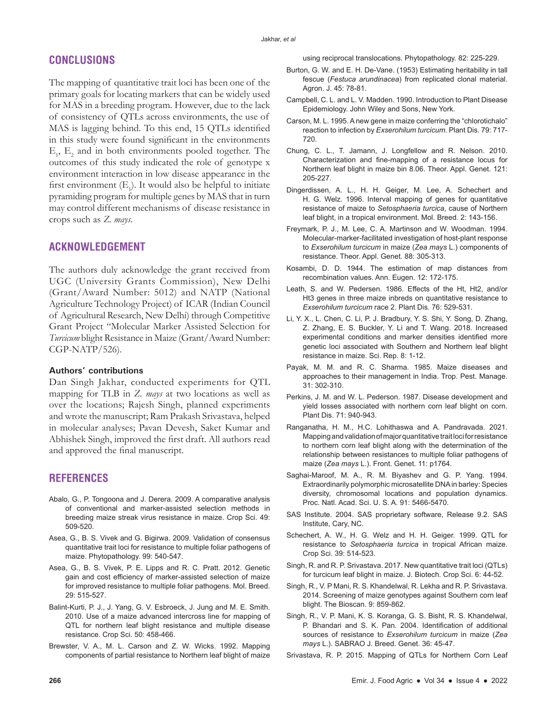# **CONCLUSIONS**

The mapping of quantitative trait loci has been one of the primary goals for locating markers that can be widely used for MAS in a breeding program. However, due to the lack of consistency of QTLs across environments, the use of MAS is lagging behind. To this end, 15 QTLs identified in this study were found significant in the environments  $E_1$ ,  $E_2$  and in both environments pooled together. The outcomes of this study indicated the role of genotype x environment interaction in low disease appearance in the first environment  $(E_1)$ . It would also be helpful to initiate pyramiding program for multiple genes by MAS that in turn may control different mechanisms of disease resistance in crops such as *Z. mays*.

# **ACKNOWLEDGEMENT**

The authors duly acknowledge the grant received from UGC (University Grants Commission), New Delhi (Grant/Award Number: 5012) and NATP (National Agriculture Technology Project) of ICAR (Indian Council of Agricultural Research, New Delhi) through Competitive Grant Project "Molecular Marker Assisted Selection for *Turcicum* blight Resistance in Maize (Grant/Award Number: CGP-NATP/526).

#### **Authors' contributions**

Dan Singh Jakhar, conducted experiments for QTL mapping for TLB in *Z. mays* at two locations as well as over the locations; Rajesh Singh, planned experiments and wrote the manuscript; Ram Prakash Srivastava, helped in molecular analyses; Pavan Devesh, Saket Kumar and Abhishek Singh, improved the first draft. All authors read and approved the final manuscript.

## **REFERENCES**

- Abalo, G., P. Tongoona and J. Derera. 2009. A comparative analysis of conventional and marker-assisted selection methods in breeding maize streak virus resistance in maize. Crop Sci. 49: 509-520.
- Asea, G., B. S. Vivek and G. Bigirwa. 2009. Validation of consensus quantitative trait loci for resistance to multiple foliar pathogens of maize. Phytopathology. 99: 540-547.
- Asea, G., B. S. Vivek, P. E. Lipps and R. C. Pratt. 2012. Genetic gain and cost efficiency of marker-assisted selection of maize for improved resistance to multiple foliar pathogens. Mol. Breed. 29: 515-527.
- Balint-Kurti, P. J., J. Yang, G. V. Esbroeck, J. Jung and M. E. Smith. 2010. Use of a maize advanced intercross line for mapping of QTL for northern leaf blight resistance and multiple disease resistance. Crop Sci. 50: 458-466.
- Brewster, V. A., M. L. Carson and Z. W. Wicks. 1992. Mapping components of partial resistance to Northern leaf blight of maize

using reciprocal translocations. Phytopathology. 82: 225-229.

- Burton, G. W. and E. H. De-Vane. (1953) Estimating heritability in tall fescue (*Festuca arundinacea*) from replicated clonal material. Agron. J. 45: 78-81.
- Campbell, C. L. and L. V. Madden. 1990. Introduction to Plant Disease Epidemiology. John Wiley and Sons, New York.
- Carson, M. L. 1995. A new gene in maize conferring the "chlorotichalo" reaction to infection by *Exserohilum turcicum*. Plant Dis. 79: 717- 720.
- Chung, C. L., T. Jamann, J. Longfellow and R. Nelson. 2010. Characterization and fine-mapping of a resistance locus for Northern leaf blight in maize bin 8.06. Theor. Appl. Genet. 121: 205-227.
- Dingerdissen, A. L., H. H. Geiger, M. Lee, A. Schechert and H. G. Welz. 1996. Interval mapping of genes for quantitative resistance of maize to *Setosphaeria turcica*, cause of Northern leaf blight, in a tropical environment. Mol. Breed. 2: 143-156.
- Freymark, P. J., M. Lee, C. A. Martinson and W. Woodman. 1994. Molecular-marker-facilitated investigation of host-plant response to *Exserohilum turcicum* in maize (*Zea mays* L.) components of resistance. Theor. Appl. Genet. 88: 305-313.
- Kosambi, D. D. 1944. The estimation of map distances from recombination values. Ann. Eugen. 12: 172-175.
- Leath, S. and W. Pedersen. 1986. Effects of the Ht, Ht2, and/or Ht3 genes in three maize inbreds on quantitative resistance to *Exserohilum turcicum* race 2. Plant Dis. 76: 529-531.
- Li, Y. X., L. Chen, C. Li, P. J. Bradbury, Y. S. Shi, Y. Song, D. Zhang, Z. Zhang, E. S. Buckler, Y. Li and T. Wang. 2018. Increased experimental conditions and marker densities identified more genetic loci associated with Southern and Northern leaf blight resistance in maize. Sci. Rep. 8: 1-12.
- Payak, M. M. and R. C. Sharma. 1985. Maize diseases and approaches to their management in India. Trop. Pest. Manage. 31: 302-310.
- Perkins, J. M. and W. L. Pederson. 1987. Disease development and yield losses associated with northern corn leaf blight on corn. Plant Dis. 71: 940-943.
- Ranganatha, H. M., H.C. Lohithaswa and A. Pandravada. 2021. Mapping and validation of major quantitative trait loci for resistance to northern corn leaf blight along with the determination of the relationship between resistances to multiple foliar pathogens of maize (*Zea mays* L.). Front. Genet. 11: p1764.
- Saghai-Maroof, M. A., R. M. Biyashev and G. P. Yang. 1994. Extraordinarily polymorphic microsatellite DNA in barley: Species diversity, chromosomal locations and population dynamics. Proc. Natl. Acad. Sci. U. S. A. 91: 5466-5470.
- SAS Institute. 2004. SAS proprietary software, Release 9.2. SAS Institute, Cary, NC.
- Schechert, A. W., H. G. Welz and H. H. Geiger. 1999. QTL for resistance to *Setosphaeria turcica* in tropical African maize. Crop Sci. 39: 514-523*.*
- Singh, R. and R. P. Srivastava. 2017. New quantitative trait loci (QTLs) for turcicum leaf blight in maize. J. Biotech. Crop Sci. 6: 44-52.
- Singh, R., V. P Mani, R. S. Khandelwal, R. Lekha and R. P. Srivastava. 2014. Screening of maize genotypes against Southern corn leaf blight. The Bioscan. 9: 859-862.
- Singh, R., V. P. Mani, K. S. Koranga, G. S. Bisht, R. S. Khandelwal, P. Bhandari and S. K. Pan. 2004. Identification of additional sources of resistance to *Exserohilum turcicum* in maize (*Zea mays* L.). SABRAO J. Breed. Genet. 36: 45-47.
- Srivastava, R. P. 2015. Mapping of QTLs for Northern Corn Leaf